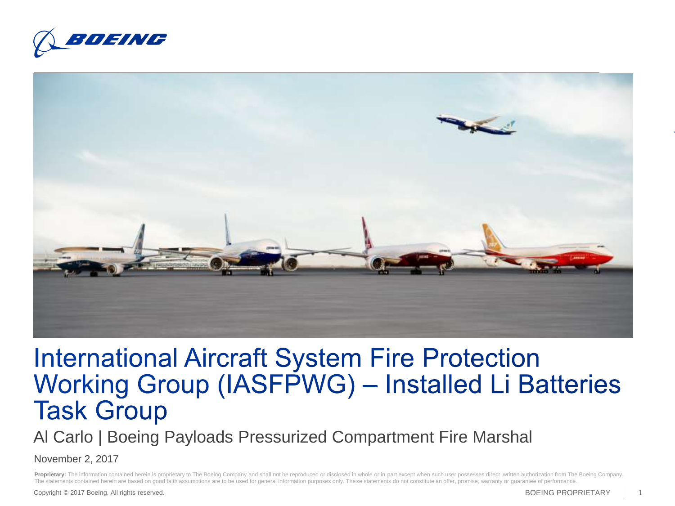



#### **International Aircraft System Fire Protection** Working Group (IASFPWG) - Installed Li Batteries **Task Group**

Al Carlo | Boeing Payloads Pressurized Compartment Fire Marshal

November 2, 2017

Proprietary: The information contained herein is proprietary to The Boeing Company and shall not be reproduced or disclosed in whole or in part except when such user possesses direct, written authorization from The Boeing The statements contained herein are based on good faith assumptions are to be used for general information purposes only. These statements do not constitute an offer, promise, warranty or guarantee of performance.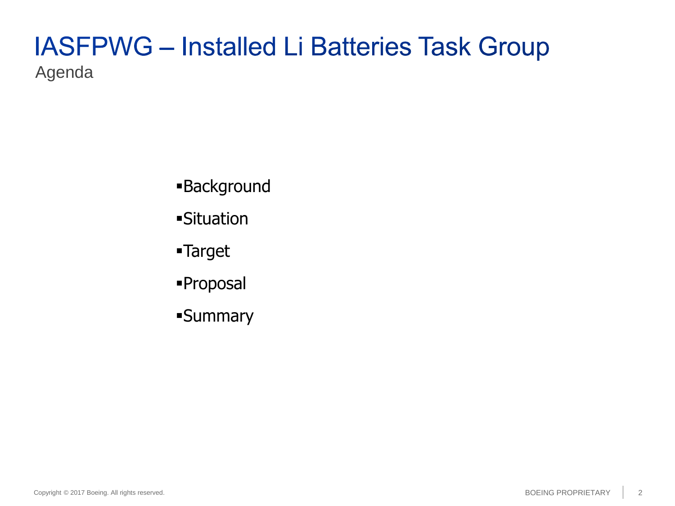#### **IASFPWG - Installed Li Batteries Task Group** Agenda

- Background
- Situation
- Target
- Proposal
- Summary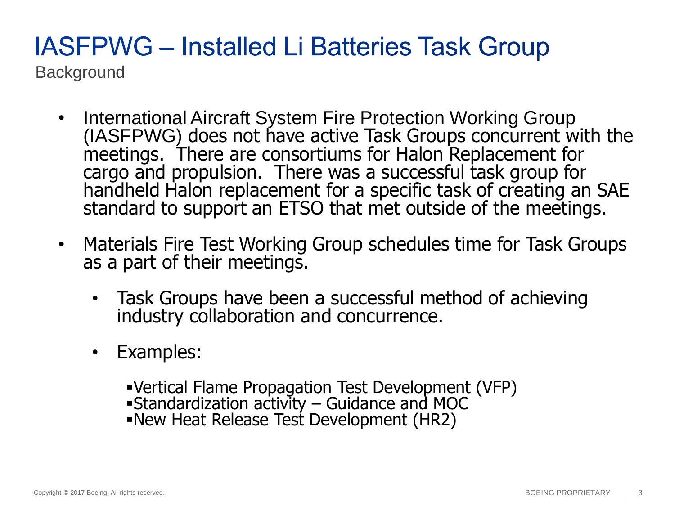## **IASFPWG - Installed Li Batteries Task Group**

**Background** 

- International Aircraft System Fire Protection Working Group (IASFPWG) does not have active Task Groups concurrent with the meetings. There are consortiums for Halon Replacement for cargo and propulsion. There was a successful task group for handheld Halon replacement for a specific task of creating an SAE standard to support an ETSO that met outside of the meetings.
- Materials Fire Test Working Group schedules time for Task Groups as a part of their meetings.
	- Task Groups have been a successful method of achieving industry collaboration and concurrence.
	- Examples:

Vertical Flame Propagation Test Development (VFP) Standardization activity – Guidance and MOC New Heat Release Test Development (HR2)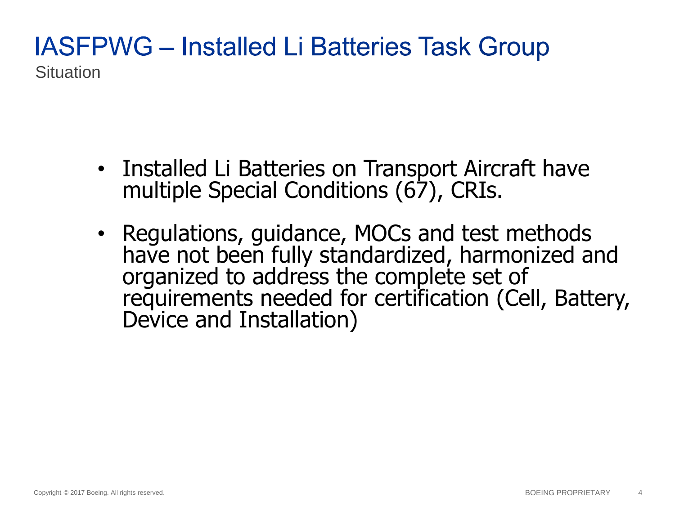#### **IASFPWG - Installed Li Batteries Task Group Situation**

- Installed Li Batteries on Transport Aircraft have multiple Special Conditions (67), CRIs.
- Regulations, guidance, MOCs and test methods have not been fully standardized, harmonized and organized to address the complete set of requirements needed for certification (Cell, Battery, Device and Installation)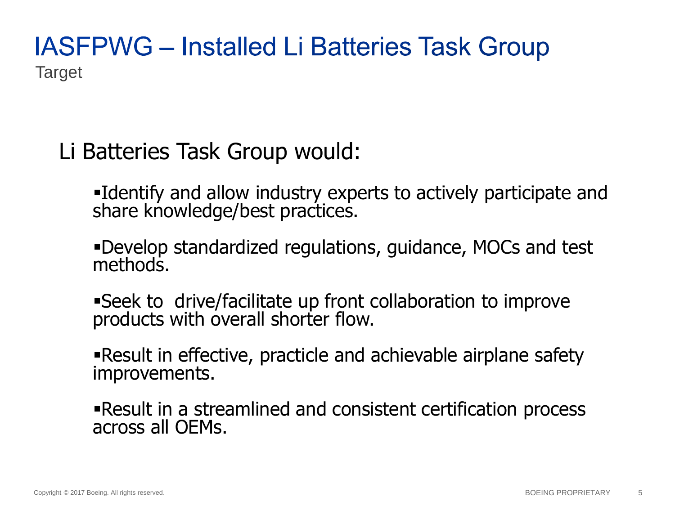#### **IASFPWG - Installed Li Batteries Task Group** Target

#### Li Batteries Task Group would:

Identify and allow industry experts to actively participate and share knowledge/best practices.

Develop standardized regulations, guidance, MOCs and test methods.

Seek to drive/facilitate up front collaboration to improve products with overall shorter flow.

Result in effective, practicle and achievable airplane safety improvements.

Result in a streamlined and consistent certification process across all OEMs.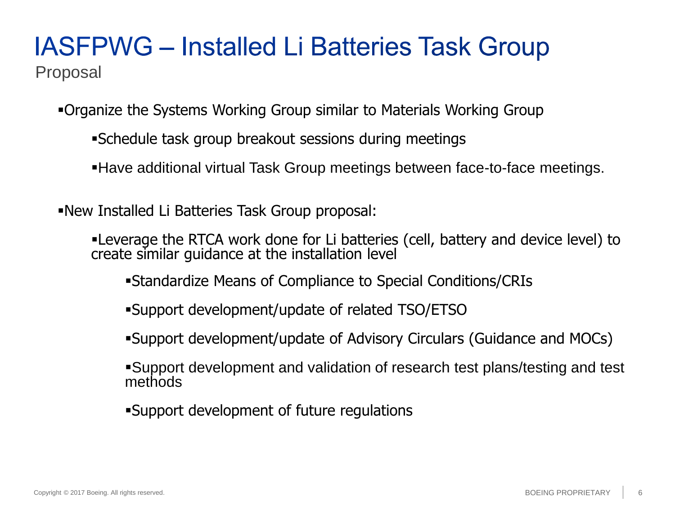# **IASFPWG - Installed Li Batteries Task Group**

Proposal

- Organize the Systems Working Group similar to Materials Working Group
	- Schedule task group breakout sessions during meetings
	- Have additional virtual Task Group meetings between face-to-face meetings.
- New Installed Li Batteries Task Group proposal:
	- Leverage the RTCA work done for Li batteries (cell, battery and device level) to create similar guidance at the installation level
		- Standardize Means of Compliance to Special Conditions/CRIs
		- Support development/update of related TSO/ETSO
		- Support development/update of Advisory Circulars (Guidance and MOCs)
		- Support development and validation of research test plans/testing and test methods
		- Support development of future regulations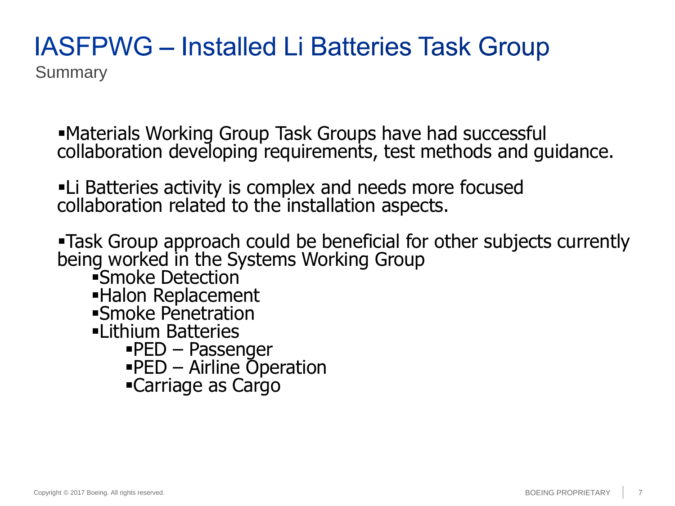### **IASFPWG - Installed Li Batteries Task Group**

**Summary** 

Materials Working Group Task Groups have had successful collaboration developing requirements, test methods and guidance.

Li Batteries activity is complex and needs more focused collaboration related to the installation aspects.

Task Group approach could be beneficial for other subjects currently being worked in the Systems Working Group

- Smoke Detection
- Halon Replacement
- Smoke Penetration
- Lithium Batteries
	- $\text{PED}$  Passenger
	- PED Airline Operation
	- Carriage as Cargo